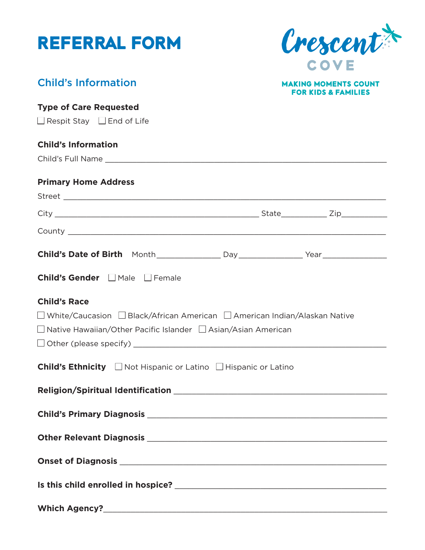| <b>REFERRAL FORM</b>                                                        | Crescent                                                      |
|-----------------------------------------------------------------------------|---------------------------------------------------------------|
|                                                                             | COVE                                                          |
| <b>Child's Information</b>                                                  | <b>MAKING MOMENTS COUNT</b><br><b>FOR KIDS &amp; FAMILIES</b> |
| <b>Type of Care Requested</b>                                               |                                                               |
| $\Box$ Respit Stay $\Box$ End of Life                                       |                                                               |
| <b>Child's Information</b>                                                  |                                                               |
|                                                                             |                                                               |
| <b>Primary Home Address</b>                                                 |                                                               |
|                                                                             |                                                               |
|                                                                             |                                                               |
|                                                                             |                                                               |
|                                                                             |                                                               |
| Child's Gender ΠMale ΠFemale                                                |                                                               |
| <b>Child's Race</b>                                                         |                                                               |
| □ White/Caucasion □ Black/African American □ American Indian/Alaskan Native |                                                               |
| $\Box$ Native Hawaiian/Other Pacific Islander $\Box$ Asian/Asian American   |                                                               |
|                                                                             |                                                               |
| <b>Child's Ethnicity</b> □ Not Hispanic or Latino □ Hispanic or Latino      |                                                               |
|                                                                             |                                                               |
|                                                                             |                                                               |
|                                                                             |                                                               |
|                                                                             |                                                               |
|                                                                             |                                                               |
|                                                                             |                                                               |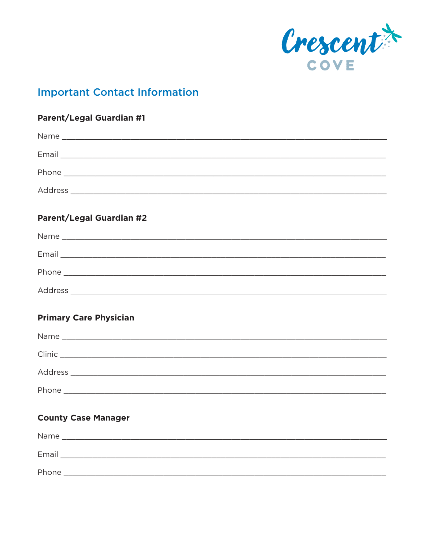

## **Important Contact Information**

# **Parent/Legal Guardian #1** Name and the contract of the contract of the contract of the contract of the contract of the contract of the contract of the contract of the contract of the contract of the contract of the contract of the contract of the c **Parent/Legal Guardian #2** Email and the contract of the contract of the contract of the contract of the contract of the contract of the Address and the contract of the contract of the contract of the contract of the contract of the contract of the **Primary Care Physician** Name and the contract of the contract of the contract of the contract of the contract of the contract of the contract of the contract of the contract of the contract of the contract of the contract of the contract of the c

| Clinic  |  |  |
|---------|--|--|
| Address |  |  |
| Phone   |  |  |

#### **County Case Manager**

| Name  |  |
|-------|--|
|       |  |
| Email |  |
|       |  |
| Phone |  |
|       |  |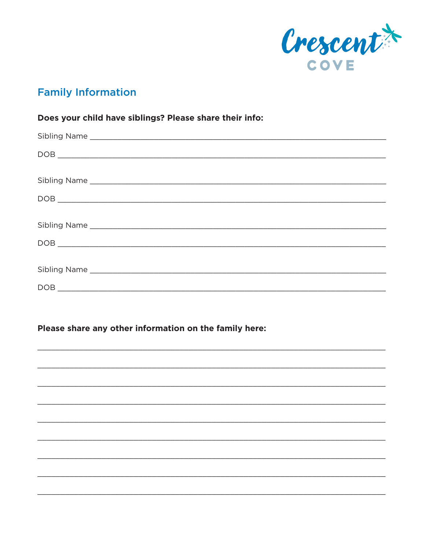

## **Family Information**

#### Does your child have siblings? Please share their info:

#### Please share any other information on the family here: